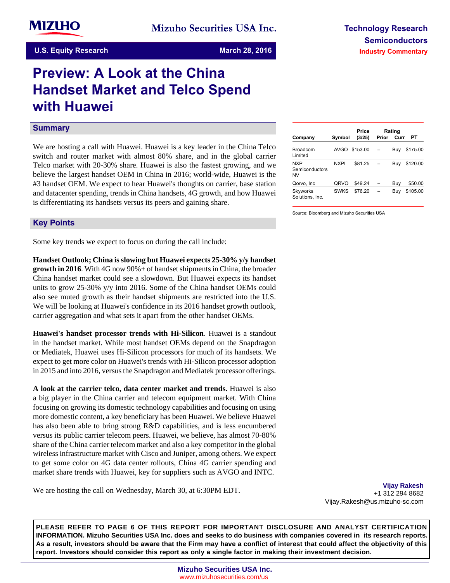# **Preview: A Look at the China Handset Market and Telco Spend with Huawei**

# **Summary**

We are hosting a call with Huawei. Huawei is a key leader in the China Telco switch and router market with almost 80% share, and in the global carrier Telco market with 20-30% share. Huawei is also the fastest growing, and we believe the largest handset OEM in China in 2016; world-wide, Huawei is the #3 handset OEM. We expect to hear Huawei's thoughts on carrier, base station and datacenter spending, trends in China handsets, 4G growth, and how Huawei is differentiating its handsets versus its peers and gaining share.

| Company                     | Symbol      | Price<br>(3/25) | Prior | Rating<br>Curr | PТ       |
|-----------------------------|-------------|-----------------|-------|----------------|----------|
| Broadcom<br>Limited         | AVGO        | \$153.00        |       | Buy            | \$175.00 |
| NXP<br>Semiconductors<br>NV | <b>NXPI</b> | \$81.25         |       | Buv            | \$120.00 |
| Qorvo, Inc                  | ORVO        | \$49.24         |       | Buv            | \$50.00  |
| Skyworks<br>Solutions, Inc. | <b>SWKS</b> | \$76.20         |       | Buv            | \$105.00 |

Source: Bloomberg and Mizuho Securities USA

# **Key-Points**

Some key trends we expect to focus on during the call include:

**Handset Outlook; China is slowing but Huawei expects 25-30% y/y handset growth in 2016**. With 4G now 90%+ of handset shipments in China, the broader China handset market could see a slowdown. But Huawei expects its handset units to grow 25-30% y/y into 2016. Some of the China handset OEMs could also see muted growth as their handset shipments are restricted into the U.S. We will be looking at Huawei's confidence in its 2016 handset growth outlook, carrier aggregation and what sets it apart from the other handset OEMs.

**Huawei's handset processor trends with Hi-Silicon**. Huawei is a standout in the handset market. While most handset OEMs depend on the Snapdragon or Mediatek, Huawei uses Hi-Silicon processors for much of its handsets. We expect to get more color on Huawei's trends with Hi-Silicon processor adoption in 2015 and into 2016, versus the Snapdragon and Mediatek processor offerings.

**A look at the carrier telco, data center market and trends.** Huawei is also a big player in the China carrier and telecom equipment market. With China focusing on growing its domestic technology capabilities and focusing on using more domestic content, a key beneficiary has been Huawei. We believe Huawei has also been able to bring strong R&D capabilities, and is less encumbered versus its public carrier telecom peers. Huawei, we believe, has almost 70-80% share of the China carrier telecom market and also a key competitor in the global wireless infrastructure market with Cisco and Juniper, among others. We expect to get some color on 4G data center rollouts, China 4G carrier spending and market share trends with Huawei, key for suppliers such as AVGO and INTC.

We are hosting the call on Wednesday, March 30, at 6:30PM EDT.

**Vijay Rakesh** +1 312 294 8682 Vijay.Rakesh@us.mizuho-sc.com

**PLEASE REFER TO PAGE 6 OF THIS REPORT FOR IMPORTANT DISCLOSURE AND ANALYST CERTIFICATION INFORMATION. Mizuho Securities USA Inc. does and seeks to do business with companies covered in its research reports. As a result, investors should be aware that the Firm may have a conflict of interest that could affect the objectivity of this report. Investors should consider this report as only a single factor in making their investment decision.**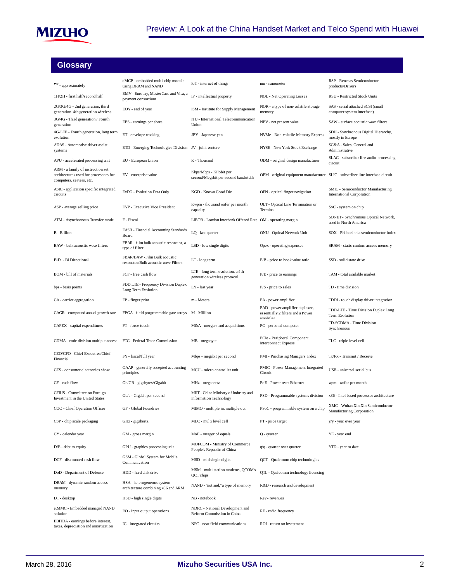

# **Glossary**

| $\sim$ - approximately                                                                                 | eMCP - embedded multi-chip module<br>using DRAM and NAND             | IoT - internet of things                                               | nm - nanometer                                                                    | RSP - Renesas Semiconductor<br>products/Drivers                        |
|--------------------------------------------------------------------------------------------------------|----------------------------------------------------------------------|------------------------------------------------------------------------|-----------------------------------------------------------------------------------|------------------------------------------------------------------------|
| 1H/2H - first half/second half                                                                         | EMV - Europay, MasterCard and Visa, a<br>payment consortium          | IP - intellectual property                                             | <b>NOL</b> - Net Operating Losses                                                 | RSU - Restricted Stock Units                                           |
| 2G/3G/4G - 2nd generation, third<br>generation. 4th generation wireless                                | EOY - end of year                                                    | ISM - Institute for Supply Management                                  | NOR - a type of non-volatile storage<br>memory                                    | SAS - serial attached SCSI (small<br>computer system interface)        |
| 3G/4G - Third generation / Fourth<br>generation                                                        | EPS - earnings per share                                             | ITU - International Telecommunication<br>Union                         | NPV - net present value                                                           | SAW - surface acoustic wave filters                                    |
| 4G-LTE - Fourth generation, long term<br>evolution                                                     | ET-envelope tracking                                                 | JPY - Japanese yen                                                     | NVMe - Non-volatile Memory Express                                                | SDH - Synchronous Digital Hierarchy,<br>mostly in Europe               |
| ADAS - Automotive driver assist<br>systems                                                             | ETD - Emerging Technologies Division JV - joint venture              |                                                                        | NYSE - New York Stock Exchange                                                    | SG&A - Sales, General and<br>Administrative                            |
| APU - accelerated processing unit                                                                      | EU - European Union                                                  | K - Thousand                                                           | ODM - original design manufacturer                                                | SLAC - subscriber line audio-processing<br>circuit                     |
| ARM - a family of instruction set<br>architectures used for processors for<br>computers, servers, etc. | EV - enterprise value                                                | Kbps/Mbps - Kilobit per<br>second/Megabit per second bandwidth         | OEM - original equipment manufacturer SLIC - subscriber line interface circuit    |                                                                        |
| ASIC - application specific integrated<br>circuits                                                     | EvDO - Evolution Data Only                                           | KGD - Known Good Die                                                   | OFN - optical finger navigation                                                   | SMIC - Semiconductor Manufacturing<br><b>International Corporation</b> |
| ASP - average selling price                                                                            | EVP - Executive Vice President                                       | Kwpm - thousand wafer per month<br>capacity                            | OLT - Optical Line Termination or<br>Terminal                                     | SoC - system on chip                                                   |
| ATM - Asynchronous Transfer mode                                                                       | F - Fiscal                                                           | LIBOR - London Interbank Offered Rate OM - operating margin            |                                                                                   | SONET - Synchronous Optical Network,<br>used in North America          |
| <b>B</b> - Billion                                                                                     | FASB - Financial Accounting Standards<br>Board                       | LQ - last quarter                                                      | ONU - Optical Network Unit                                                        | SOX - Philadelphia semiconductor index                                 |
| BAW - bulk acoustic wave filters                                                                       | FBAR - film bulk acoustic resonator, a<br>type of filter             | LSD - low single digits                                                | Opex - operating expenses                                                         | SRAM - static random access memory                                     |
| BiDi - Bi Directional                                                                                  | FBAR/BAW -Film Bulk acoustic<br>resonator/Bulk acoustic wave Filters | LT-long term                                                           | P/B - price to book value ratio                                                   | SSD - solid state drive                                                |
| BOM - bill of materials                                                                                | FCF - free cash flow                                                 | LTE - long term evolution, a 4th<br>generation wireless protocol       | P/E - price to earnings                                                           | TAM - total available market                                           |
| bps - basis points                                                                                     | FDD LTE - Frequency Division Duplex<br>Long Term Evolution           | LY - last year                                                         | $P/S$ - price to sales                                                            | TD - time division                                                     |
| CA - carrier aggregation                                                                               | FP - finger print                                                    | m - Meters                                                             | PA - power amplifier                                                              | TDDI - touch display driver integration                                |
| CAGR - compound annual growth rate                                                                     | FPGA - field programmable gate arrays                                | M - Million                                                            | PAD - power amplifier duplexer,<br>essentially 2 filters and a Power<br>amnlifier | TDD-LTE - Time Division Duplex Long<br>Term Evolution                  |
| CAPEX - capital expenditures                                                                           | FT-force touch                                                       | M&A - mergers and acquisitions                                         | PC - personal computer                                                            | TD-SCDMA - Time Division<br>Synchronous                                |
| CDMA - code division multiple access                                                                   | FTC - Federal Trade Commission                                       | MB - megabyte                                                          | PCIe - Peripheral Component<br><b>Interconnect Express</b>                        | TLC - triple level cell                                                |
| CEO/CFO - Chief Executive/Chief<br>Financial                                                           | FY - fiscal/full year                                                | Mbps - megabit per second                                              | PMI - Purchasing Managers' Index                                                  | Tx/Rx - Transmit / Receive                                             |
| CES - consumer electronics show                                                                        | GAAP - generally accepted accounting<br>principles                   | MCU - micro controller unit                                            | PMIC - Power Management Integrated<br>Circuit                                     | USB - universal serial bus                                             |
| CF - cash flow                                                                                         | Gb/GB - gigabytes/Gigabit                                            | MHz - megahertz                                                        | PoE - Power over Ethernet                                                         | wpm - wafer per month                                                  |
| CFIUS - Committee on Foreign<br>Investment in the United States                                        | Gb/s - Gigabit per second                                            | MIIT - China Ministry of Industry and<br><b>Information Technology</b> | PSD - Programmable systems division                                               | x86 - Intel based processor architecture                               |
| COO - Chief Operation Officer                                                                          | GF - Global Foundries                                                | MIMO - multiple in, multiple out                                       | PSoC - programmable system on a chip                                              | XMC - Wuhan Xin Xin Semiconductor<br>Manufacturing Corporation         |
| CSP - chip scale packaging                                                                             | GHz - gigahertz                                                      | MLC - multi level cell                                                 | PT - price target                                                                 | y/y - year over year                                                   |
| CY - calendar year                                                                                     | GM - gross margin                                                    | MoE - merger of equals                                                 | $Q$ - quarter                                                                     | YE - year end                                                          |
| D/E - debt to equity                                                                                   | GPU - graphics processing unit                                       | MOFCOM - Ministry of Commerce<br>People's Republic of China            | q/q - quarter over quarter                                                        | YTD - year to date                                                     |
| DCF - discounted cash flow                                                                             | GSM - Global System for Mobile<br>Communication                      | MSD - mid single digits                                                | QCT - Qualcomm chip technologies                                                  |                                                                        |
| DoD - Department of Defense                                                                            | HDD - hard disk drive                                                | MSM - multi station modems, QCOM's<br>QCT chips                        | QTL - Qualcomm technology licensing                                               |                                                                        |
| DRAM - dynamic random access<br>memory                                                                 | HSA - heterogeneous system<br>architecture combining x86 and ARM     | NAND - "not and," a type of memory                                     | R&D - research and development                                                    |                                                                        |
| DT-desktop                                                                                             | HSD - high single digits                                             | NB - notebook                                                          | Rev-revenues                                                                      |                                                                        |
| e.MMC - Embedded managed NAND<br>solution                                                              | I/O - input output operations                                        | NDRC - National Development and<br>Reform Commission in China          | RF - radio frequency                                                              |                                                                        |
| EBITDA - earnings before interest,<br>taxes, depreciation and amortization                             | IC - integrated circuits                                             | NFC - near field communications                                        | ROI - return on investment                                                        |                                                                        |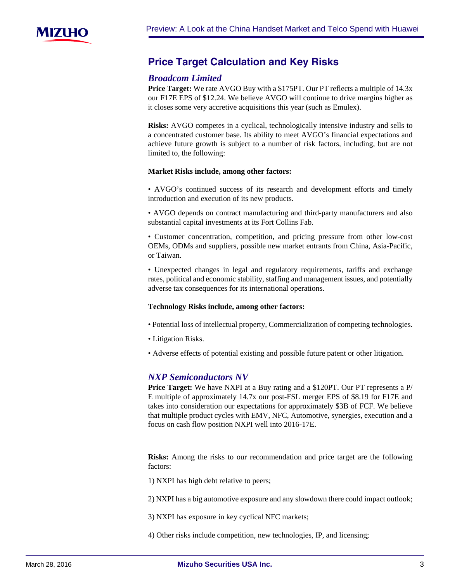

# **Price-Target-Calculation-and-Key-Risks**

# *Broadcom Limited*

**Price Target:** We rate AVGO Buy with a \$175PT. Our PT reflects a multiple of 14.3x our F17E EPS of \$12.24. We believe AVGO will continue to drive margins higher as it closes some very accretive acquisitions this year (such as Emulex).

**Risks:** AVGO competes in a cyclical, technologically intensive industry and sells to a concentrated customer base. Its ability to meet AVGO's financial expectations and achieve future growth is subject to a number of risk factors, including, but are not limited to, the following:

#### **Market Risks include, among other factors:**

• AVGO's continued success of its research and development efforts and timely introduction and execution of its new products.

• AVGO depends on contract manufacturing and third-party manufacturers and also substantial capital investments at its Fort Collins Fab.

• Customer concentration, competition, and pricing pressure from other low-cost OEMs, ODMs and suppliers, possible new market entrants from China, Asia-Pacific, or Taiwan.

• Unexpected changes in legal and regulatory requirements, tariffs and exchange rates, political and economic stability, staffing and management issues, and potentially adverse tax consequences for its international operations.

#### **Technology Risks include, among other factors:**

- Potential loss of intellectual property, Commercialization of competing technologies.
- Litigation Risks.
- Adverse effects of potential existing and possible future patent or other litigation.

# *NXP Semiconductors NV*

**Price Target:** We have NXPI at a Buy rating and a \$120PT. Our PT represents a P/ E multiple of approximately 14.7x our post-FSL merger EPS of \$8.19 for F17E and takes into consideration our expectations for approximately \$3B of FCF. We believe that multiple product cycles with EMV, NFC, Automotive, synergies, execution and a focus on cash flow position NXPI well into 2016-17E.

**Risks:** Among the risks to our recommendation and price target are the following factors:

1) NXPI has high debt relative to peers;

2) NXPI has a big automotive exposure and any slowdown there could impact outlook;

3) NXPI has exposure in key cyclical NFC markets;

4) Other risks include competition, new technologies, IP, and licensing;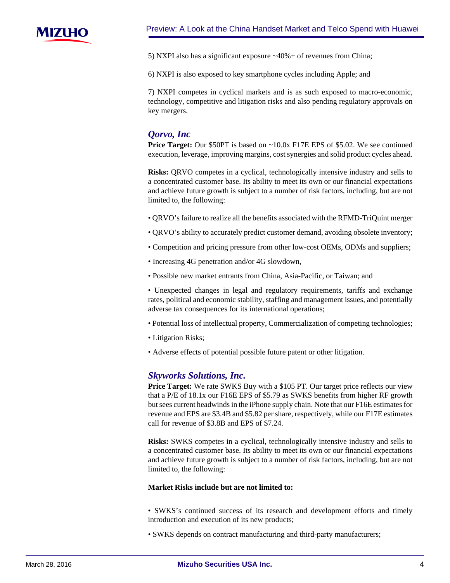

5) NXPI also has a significant exposure ~40%+ of revenues from China;

6) NXPI is also exposed to key smartphone cycles including Apple; and

7) NXPI competes in cyclical markets and is as such exposed to macro-economic, technology, competitive and litigation risks and also pending regulatory approvals on key mergers.

# *Qorvo, Inc*

**Price Target:** Our \$50PT is based on ~10.0x F17E EPS of \$5.02. We see continued execution, leverage, improving margins, cost synergies and solid product cycles ahead.

**Risks:** QRVO competes in a cyclical, technologically intensive industry and sells to a concentrated customer base. Its ability to meet its own or our financial expectations and achieve future growth is subject to a number of risk factors, including, but are not limited to, the following:

- QRVO's failure to realize all the benefits associated with the RFMD-TriQuint merger
- QRVO's ability to accurately predict customer demand, avoiding obsolete inventory;
- Competition and pricing pressure from other low-cost OEMs, ODMs and suppliers;
- Increasing 4G penetration and/or 4G slowdown,
- Possible new market entrants from China, Asia-Pacific, or Taiwan; and

• Unexpected changes in legal and regulatory requirements, tariffs and exchange rates, political and economic stability, staffing and management issues, and potentially adverse tax consequences for its international operations;

- Potential loss of intellectual property, Commercialization of competing technologies;
- Litigation Risks;
- Adverse effects of potential possible future patent or other litigation.

# *Skyworks Solutions, Inc.*

**Price Target:** We rate SWKS Buy with a \$105 PT. Our target price reflects our view that a P/E of 18.1x our F16E EPS of \$5.79 as SWKS benefits from higher RF growth but sees current headwinds in the iPhone supply chain. Note that our F16E estimates for revenue and EPS are \$3.4B and \$5.82 per share, respectively, while our F17E estimates call for revenue of \$3.8B and EPS of \$7.24.

**Risks:** SWKS competes in a cyclical, technologically intensive industry and sells to a concentrated customer base. Its ability to meet its own or our financial expectations and achieve future growth is subject to a number of risk factors, including, but are not limited to, the following:

#### **Market Risks include but are not limited to:**

• SWKS's continued success of its research and development efforts and timely introduction and execution of its new products;

• SWKS depends on contract manufacturing and third-party manufacturers;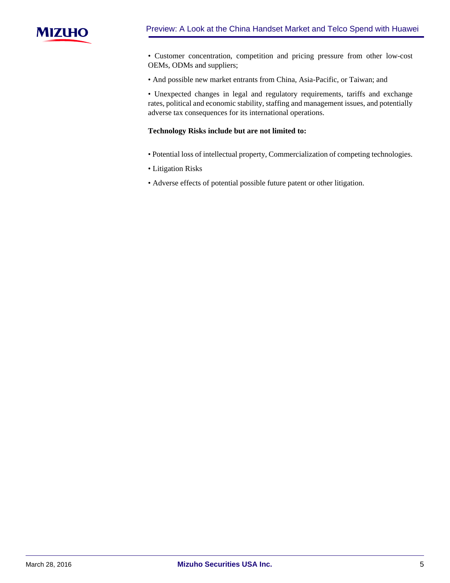

• Customer concentration, competition and pricing pressure from other low-cost OEMs, ODMs and suppliers;

• And possible new market entrants from China, Asia-Pacific, or Taiwan; and

• Unexpected changes in legal and regulatory requirements, tariffs and exchange rates, political and economic stability, staffing and management issues, and potentially adverse tax consequences for its international operations.

### **Technology Risks include but are not limited to:**

- Potential loss of intellectual property, Commercialization of competing technologies.
- Litigation Risks
- Adverse effects of potential possible future patent or other litigation.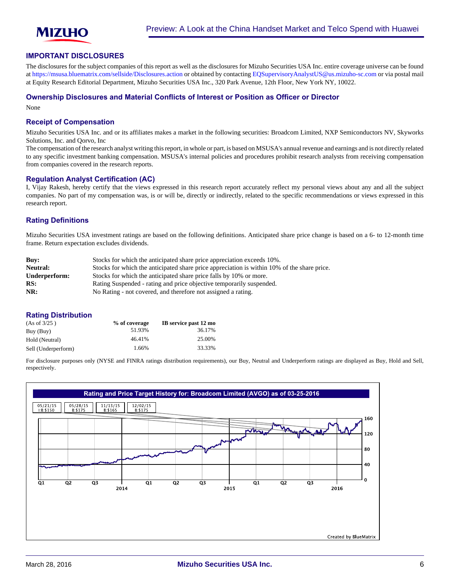

#### **IMPORTANT DISCLOSURES**

The disclosures for the subject companies of this report as well as the disclosures for Mizuho Securities USA Inc. entire coverage universe can be found at<https://msusa.bluematrix.com/sellside/Disclosures.action>or obtained by contacting [EQSupervisoryAnalystUS@us.mizuho-sc.com](mailto:EQSupervisoryAnalystUS@us.mizuho-sc.com) or via postal mail at Equity Research Editorial Department, Mizuho Securities USA Inc., 320 Park Avenue, 12th Floor, New York NY, 10022.

#### **Ownership Disclosures and Material Conflicts of Interest or Position as Officer or Director**

None

#### **Receipt of Compensation**

Mizuho Securities USA Inc. and or its affiliates makes a market in the following securities: Broadcom Limited, NXP Semiconductors NV, Skyworks Solutions, Inc. and Qorvo, Inc

The compensation of the research analyst writing this report, in whole or part, is based on MSUSA's annual revenue and earnings and is not directly related to any specific investment banking compensation. MSUSA's internal policies and procedures prohibit research analysts from receiving compensation from companies covered in the research reports.

#### **Regulation Analyst Certification (AC)**

I, Vijay Rakesh, hereby certify that the views expressed in this research report accurately reflect my personal views about any and all the subject companies. No part of my compensation was, is or will be, directly or indirectly, related to the specific recommendations or views expressed in this research report.

### **Rating Definitions**

Mizuho Securities USA investment ratings are based on the following definitions. Anticipated share price change is based on a 6- to 12-month time frame. Return expectation excludes dividends.

| Buv:          | Stocks for which the anticipated share price appreciation exceeds 10%.                      |
|---------------|---------------------------------------------------------------------------------------------|
| Neutral:      | Stocks for which the anticipated share price appreciation is within 10% of the share price. |
| Underperform: | Stocks for which the anticipated share price falls by 10% or more.                          |
| RS:           | Rating Suspended - rating and price objective temporarily suspended.                        |
| NR:           | No Rating - not covered, and therefore not assigned a rating.                               |

#### **Rating Distribution**

| (As of 3/25)        | % of coverage | IB service past 12 mo |
|---------------------|---------------|-----------------------|
| Buy (Buy)           | 51.93%        | 36.17%                |
| Hold (Neutral)      | 46.41%        | 25.00%                |
| Sell (Underperform) | 1.66%         | 33.33%                |

For disclosure purposes only (NYSE and FINRA ratings distribution requirements), our Buy, Neutral and Underperform ratings are displayed as Buy, Hold and Sell, respectively.

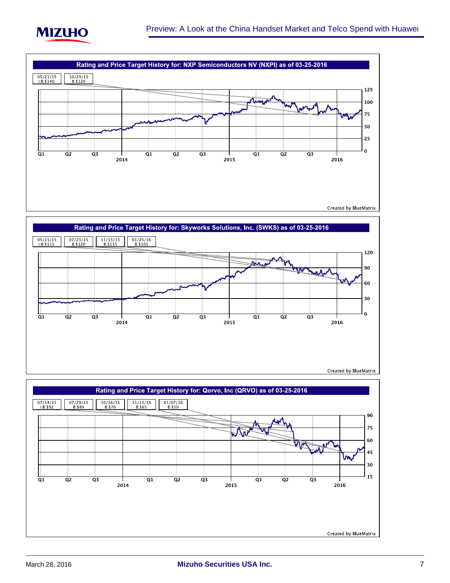





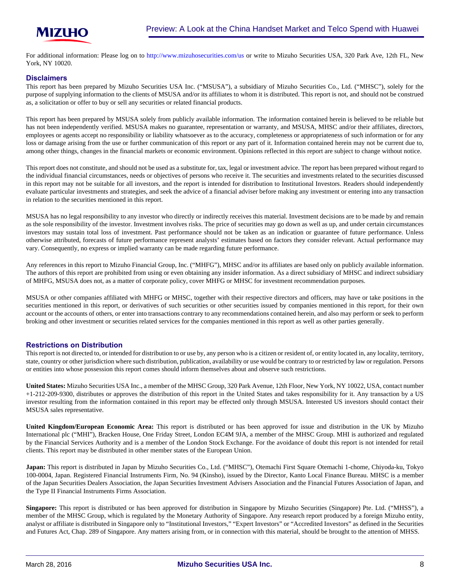

For additional information: Please log on to <http://www.mizuhosecurities.com/us> or write to Mizuho Securities USA, 320 Park Ave, 12th FL, New York, NY 10020.

#### **Disclaimers**

This report has been prepared by Mizuho Securities USA Inc. ("MSUSA"), a subsidiary of Mizuho Securities Co., Ltd. ("MHSC"), solely for the purpose of supplying information to the clients of MSUSA and/or its affiliates to whom it is distributed. This report is not, and should not be construed as, a solicitation or offer to buy or sell any securities or related financial products.

This report has been prepared by MSUSA solely from publicly available information. The information contained herein is believed to be reliable but has not been independently verified. MSUSA makes no guarantee, representation or warranty, and MSUSA, MHSC and/or their affiliates, directors, employees or agents accept no responsibility or liability whatsoever as to the accuracy, completeness or appropriateness of such information or for any loss or damage arising from the use or further communication of this report or any part of it. Information contained herein may not be current due to, among other things, changes in the financial markets or economic environment. Opinions reflected in this report are subject to change without notice.

This report does not constitute, and should not be used as a substitute for, tax, legal or investment advice. The report has been prepared without regard to the individual financial circumstances, needs or objectives of persons who receive it. The securities and investments related to the securities discussed in this report may not be suitable for all investors, and the report is intended for distribution to Institutional Investors. Readers should independently evaluate particular investments and strategies, and seek the advice of a financial adviser before making any investment or entering into any transaction in relation to the securities mentioned in this report.

MSUSA has no legal responsibility to any investor who directly or indirectly receives this material. Investment decisions are to be made by and remain as the sole responsibility of the investor. Investment involves risks. The price of securities may go down as well as up, and under certain circumstances investors may sustain total loss of investment. Past performance should not be taken as an indication or guarantee of future performance. Unless otherwise attributed, forecasts of future performance represent analysts' estimates based on factors they consider relevant. Actual performance may vary. Consequently, no express or implied warranty can be made regarding future performance.

Any references in this report to Mizuho Financial Group, Inc. ("MHFG"), MHSC and/or its affiliates are based only on publicly available information. The authors of this report are prohibited from using or even obtaining any insider information. As a direct subsidiary of MHSC and indirect subsidiary of MHFG, MSUSA does not, as a matter of corporate policy, cover MHFG or MHSC for investment recommendation purposes.

MSUSA or other companies affiliated with MHFG or MHSC, together with their respective directors and officers, may have or take positions in the securities mentioned in this report, or derivatives of such securities or other securities issued by companies mentioned in this report, for their own account or the accounts of others, or enter into transactions contrary to any recommendations contained herein, and also may perform or seek to perform broking and other investment or securities related services for the companies mentioned in this report as well as other parties generally.

#### **Restrictions on Distribution**

This report is not directed to, or intended for distribution to or use by, any person who is a citizen or resident of, or entity located in, any locality, territory, state, country or other jurisdiction where such distribution, publication, availability or use would be contrary to or restricted by law or regulation. Persons or entities into whose possession this report comes should inform themselves about and observe such restrictions.

**United States:** Mizuho Securities USA Inc., a member of the MHSC Group, 320 Park Avenue, 12th Floor, New York, NY 10022, USA, contact number +1-212-209-9300, distributes or approves the distribution of this report in the United States and takes responsibility for it. Any transaction by a US investor resulting from the information contained in this report may be effected only through MSUSA. Interested US investors should contact their MSUSA sales representative.

**United Kingdom/European Economic Area:** This report is distributed or has been approved for issue and distribution in the UK by Mizuho International plc ("MHI"), Bracken House, One Friday Street, London EC4M 9JA, a member of the MHSC Group. MHI is authorized and regulated by the Financial Services Authority and is a member of the London Stock Exchange. For the avoidance of doubt this report is not intended for retail clients. This report may be distributed in other member states of the European Union.

**Japan:** This report is distributed in Japan by Mizuho Securities Co., Ltd. ("MHSC"), Otemachi First Square Otemachi 1-chome, Chiyoda-ku, Tokyo 100-0004, Japan. Registered Financial Instruments Firm, No. 94 (Kinsho), issued by the Director, Kanto Local Finance Bureau. MHSC is a member of the Japan Securities Dealers Association, the Japan Securities Investment Advisers Association and the Financial Futures Association of Japan, and the Type II Financial Instruments Firms Association.

**Singapore:** This report is distributed or has been approved for distribution in Singapore by Mizuho Securities (Singapore) Pte. Ltd. ("MHSS"), a member of the MHSC Group, which is regulated by the Monetary Authority of Singapore. Any research report produced by a foreign Mizuho entity, analyst or affiliate is distributed in Singapore only to "Institutional Investors," "Expert Investors" or "Accredited Investors" as defined in the Securities and Futures Act, Chap. 289 of Singapore. Any matters arising from, or in connection with this material, should be brought to the attention of MHSS.